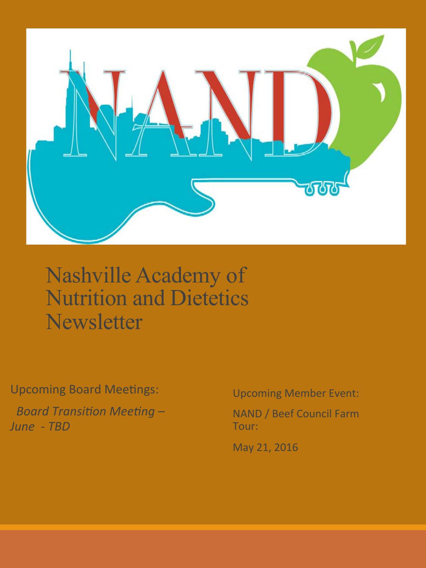

#### Nashville Academy of Nutrition and Dietetics **Newsletter**

Upcoming Board Meetings:

**Board Transition Meeting –** *June - TBD* 

Upcoming Member Event:

NAND / Beef Council Farm Tour: 

May 21, 2016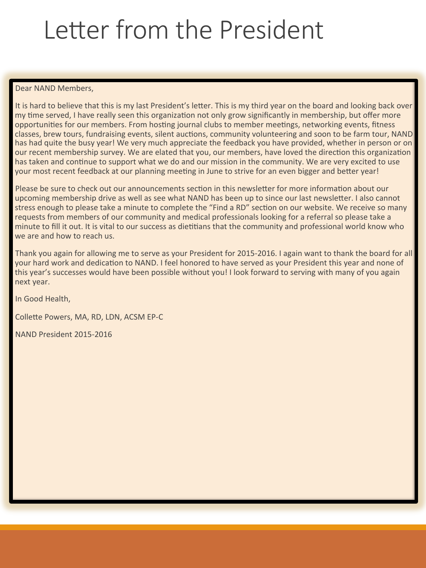# Letter from the President

Dear NAND Members.

It is hard to believe that this is my last President's letter. This is my third year on the board and looking back over my time served, I have really seen this organization not only grow significantly in membership, but offer more opportunities for our members. From hosting journal clubs to member meetings, networking events, fitness classes, brew tours, fundraising events, silent auctions, community volunteering and soon to be farm tour, NAND has had quite the busy year! We very much appreciate the feedback you have provided, whether in person or on our recent membership survey. We are elated that you, our members, have loved the direction this organization has taken and continue to support what we do and our mission in the community. We are very excited to use your most recent feedback at our planning meeting in June to strive for an even bigger and better year!

Please be sure to check out our announcements section in this newsletter for more information about our upcoming membership drive as well as see what NAND has been up to since our last newsletter. I also cannot stress enough to please take a minute to complete the "Find a RD" section on our website. We receive so many requests from members of our community and medical professionals looking for a referral so please take a minute to fill it out. It is vital to our success as dietitians that the community and professional world know who we are and how to reach us.

Thank you again for allowing me to serve as your President for 2015-2016. I again want to thank the board for all your hard work and dedication to NAND. I feel honored to have served as your President this year and none of this year's successes would have been possible without you! I look forward to serving with many of you again next year.

In Good Health, 

Collette Powers, MA, RD, LDN, ACSM EP-C

NAND President 2015-2016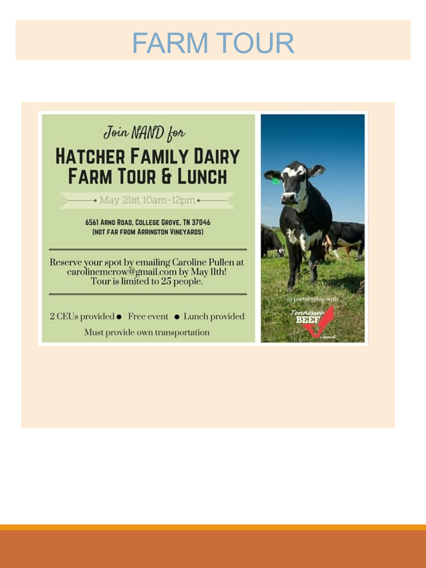# FARM TOUR



Must provide own transportation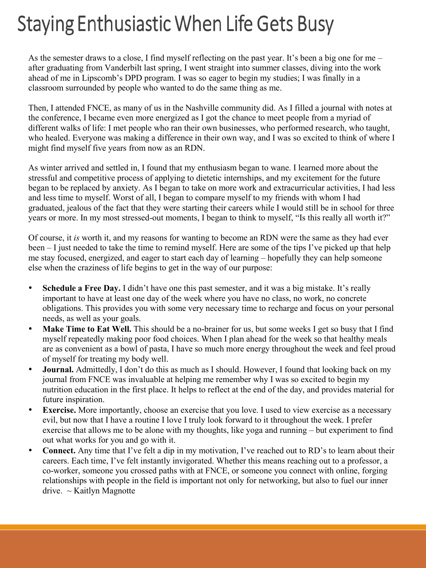### **Staying Enthusiastic When Life Gets Busy**

As the semester draws to a close, I find myself reflecting on the past year. It's been a big one for me – after graduating from Vanderbilt last spring, I went straight into summer classes, diving into the work ahead of me in Lipscomb's DPD program. I was so eager to begin my studies; I was finally in a classroom surrounded by people who wanted to do the same thing as me.

Then, I attended FNCE, as many of us in the Nashville community did. As I filled a journal with notes at the conference, I became even more energized as I got the chance to meet people from a myriad of different walks of life: I met people who ran their own businesses, who performed research, who taught, who healed. Everyone was making a difference in their own way, and I was so excited to think of where I might find myself five years from now as an RDN.

As winter arrived and settled in, I found that my enthusiasm began to wane. I learned more about the stressful and competitive process of applying to dietetic internships, and my excitement for the future began to be replaced by anxiety. As I began to take on more work and extracurricular activities, I had less and less time to myself. Worst of all, I began to compare myself to my friends with whom I had graduated, jealous of the fact that they were starting their careers while I would still be in school for three years or more. In my most stressed-out moments, I began to think to myself, "Is this really all worth it?"

Of course, it *is* worth it, and my reasons for wanting to become an RDN were the same as they had ever been – I just needed to take the time to remind myself. Here are some of the tips I've picked up that help me stay focused, energized, and eager to start each day of learning – hopefully they can help someone else when the craziness of life begins to get in the way of our purpose:

- **Schedule a Free Day.** I didn't have one this past semester, and it was a big mistake. It's really important to have at least one day of the week where you have no class, no work, no concrete obligations. This provides you with some very necessary time to recharge and focus on your personal needs, as well as your goals.
- **Make Time to Eat Well.** This should be a no-brainer for us, but some weeks I get so busy that I find myself repeatedly making poor food choices. When I plan ahead for the week so that healthy meals are as convenient as a bowl of pasta, I have so much more energy throughout the week and feel proud of myself for treating my body well.
- **Journal.** Admittedly, I don't do this as much as I should. However, I found that looking back on my journal from FNCE was invaluable at helping me remember why I was so excited to begin my nutrition education in the first place. It helps to reflect at the end of the day, and provides material for future inspiration.
- **Exercise.** More importantly, choose an exercise that you love. I used to view exercise as a necessary evil, but now that I have a routine I love I truly look forward to it throughout the week. I prefer exercise that allows me to be alone with my thoughts, like yoga and running – but experiment to find out what works for you and go with it.
- **Connect.** Any time that I've felt a dip in my motivation, I've reached out to RD's to learn about their careers. Each time, I've felt instantly invigorated. Whether this means reaching out to a professor, a co-worker, someone you crossed paths with at FNCE, or someone you connect with online, forging relationships with people in the field is important not only for networking, but also to fuel our inner  $drive. ~ \sim$  Kaitlyn Magnotte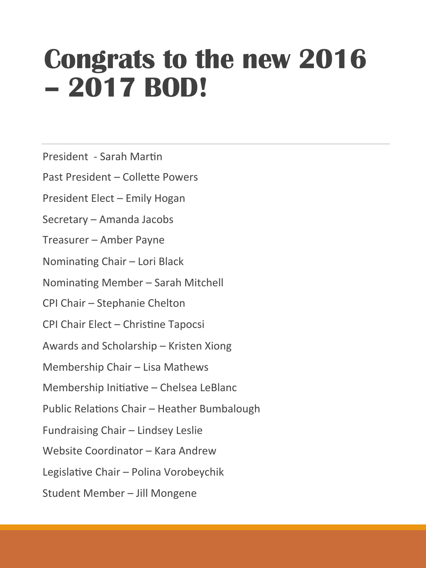# **Congrats to the new 2016 – 2017 BOD!**

President - Sarah Martin

Past President – Collette Powers

President Elect – Emily Hogan

Secretary – Amanda Jacobs

Treasurer – Amber Payne

Nominating Chair – Lori Black

Nominating Member - Sarah Mitchell

CPI Chair - Stephanie Chelton

CPI Chair Elect – Christine Tapocsi

Awards and Scholarship – Kristen Xiong

Membership Chair - Lisa Mathews

Membership Initiative - Chelsea LeBlanc

Public Relations Chair – Heather Bumbalough

Fundraising Chair - Lindsey Leslie

Website Coordinator – Kara Andrew

Legislative Chair – Polina Vorobeychik

Student Member - Jill Mongene